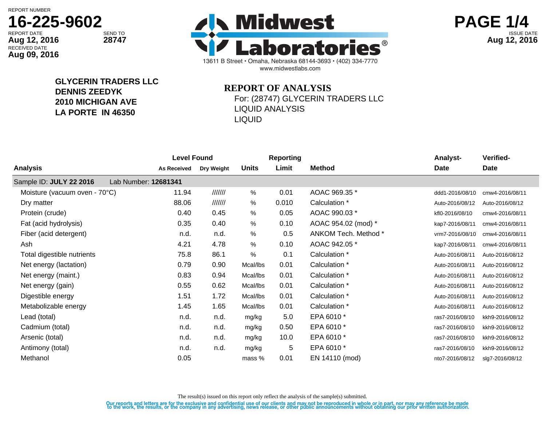REPORT NUMBER

# **16-225-9602**

RECEIVED DATE **Aug 09, 2016**

13611 B Street • Omaha, Nebraska 68144-3693 • (402) 334-7770 www.midwestlabs.com REPORT DATE SEND TO SEND TO **interval the contract of the contract of the contract of the contract of the contract of the contract of the contract of the contract of the contract of the contract of the contract of the cont** Aug 12, 2016 28747 28747 **Aug 12, 2016** 2016 2016



**GLYCERIN TRADERS LLC DENNIS ZEEDYK 2010 MICHIGAN AVE LA PORTE IN 46350**

## **REPORT OF ANALYSIS**

For: (28747) GLYCERIN TRADERS LLC LIQUID ANALYSIS LIQUID

|                               | <b>Level Found</b>   |            |              | <b>Reporting</b> |                      | <b>Analyst-</b> | Verified-       |
|-------------------------------|----------------------|------------|--------------|------------------|----------------------|-----------------|-----------------|
| Analysis                      | <b>As Received</b>   | Dry Weight | <b>Units</b> | Limit            | <b>Method</b>        | Date            | Date            |
| Sample ID: JULY 22 2016       | Lab Number: 12681341 |            |              |                  |                      |                 |                 |
| Moisture (vacuum oven - 70°C) | 11.94                | 1111111    | %            | 0.01             | AOAC 969.35 *        | ddd1-2016/08/10 | cmw4-2016/08/11 |
| Dry matter                    | 88.06                | 1111111    | %            | 0.010            | Calculation *        | Auto-2016/08/12 | Auto-2016/08/12 |
| Protein (crude)               | 0.40                 | 0.45       | $\%$         | 0.05             | AOAC 990.03 *        | kfl0-2016/08/10 | cmw4-2016/08/11 |
| Fat (acid hydrolysis)         | 0.35                 | 0.40       | %            | 0.10             | AOAC 954.02 (mod) *  | kap7-2016/08/11 | cmw4-2016/08/11 |
| Fiber (acid detergent)        | n.d.                 | n.d.       | $\%$         | 0.5              | ANKOM Tech. Method * | vrm7-2016/08/10 | cmw4-2016/08/11 |
| Ash                           | 4.21                 | 4.78       | %            | 0.10             | AOAC 942.05 *        | kap7-2016/08/11 | cmw4-2016/08/11 |
| Total digestible nutrients    | 75.8                 | 86.1       | %            | 0.1              | Calculation *        | Auto-2016/08/11 | Auto-2016/08/12 |
| Net energy (lactation)        | 0.79                 | 0.90       | Mcal/lbs     | 0.01             | Calculation *        | Auto-2016/08/11 | Auto-2016/08/12 |
| Net energy (maint.)           | 0.83                 | 0.94       | Mcal/lbs     | 0.01             | Calculation *        | Auto-2016/08/11 | Auto-2016/08/12 |
| Net energy (gain)             | 0.55                 | 0.62       | Mcal/lbs     | 0.01             | Calculation *        | Auto-2016/08/11 | Auto-2016/08/12 |
| Digestible energy             | 1.51                 | 1.72       | Mcal/lbs     | 0.01             | Calculation *        | Auto-2016/08/11 | Auto-2016/08/12 |
| Metabolizable energy          | 1.45                 | 1.65       | Mcal/lbs     | 0.01             | Calculation *        | Auto-2016/08/11 | Auto-2016/08/12 |
| Lead (total)                  | n.d.                 | n.d.       | mg/kg        | 5.0              | EPA 6010*            | ras7-2016/08/10 | kkh9-2016/08/12 |
| Cadmium (total)               | n.d.                 | n.d.       | mg/kg        | 0.50             | EPA 6010 *           | ras7-2016/08/10 | kkh9-2016/08/12 |
| Arsenic (total)               | n.d.                 | n.d.       | mg/kg        | 10.0             | EPA 6010 *           | ras7-2016/08/10 | kkh9-2016/08/12 |
| Antimony (total)              | n.d.                 | n.d.       | mg/kg        | 5                | EPA 6010 *           | ras7-2016/08/10 | kkh9-2016/08/12 |
| Methanol                      | 0.05                 |            | mass %       | 0.01             | EN 14110 (mod)       | nto7-2016/08/12 | slq7-2016/08/12 |
|                               |                      |            |              |                  |                      |                 |                 |

The result(s) issued on this report only reflect the analysis of the sample(s) submitted.

Our reports and letters are for the exclusive and confidential use of our clients and may not be reproduced in whole or in part, nor may any reference be made<br>to the work, the results, or the company in any advertising, ne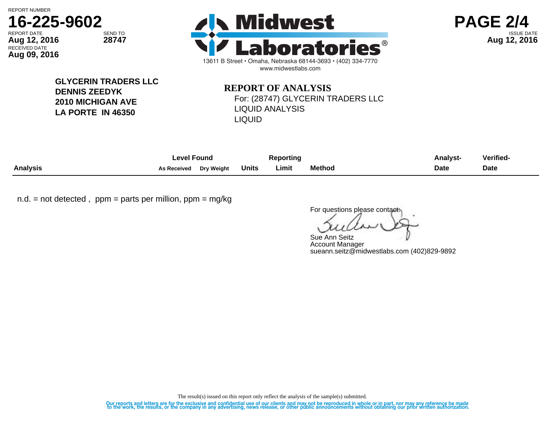REPORT NUMBER

RECEIVED DATE

**Aug 09, 2016**







**GLYCERIN TRADERS LLC DENNIS ZEEDYK 2010 MICHIGAN AVE LA PORTE IN 46350**

## **REPORT OF ANALYSIS** For: (28747) GLYCERIN TRADERS LLC LIQUID ANALYSIS LIQUID

|                 | ∟evel Found        |            | Reporting    |       |               | <b>Analyst-</b> | <b>Verified-</b> |
|-----------------|--------------------|------------|--------------|-------|---------------|-----------------|------------------|
| <b>Analysis</b> | <b>As Received</b> | Drv Weiaht | <b>Units</b> | Limit | <b>Method</b> | Date            | <b>Date</b>      |

 $n.d.$  = not detected, ppm = parts per million, ppm = mg/kg

For questions please contact:

Sue Ann Seitz Account Manager sueann.seitz@midwestlabs.com (402)829-9892

The result(s) issued on this report only reflect the analysis of the sample(s) submitted.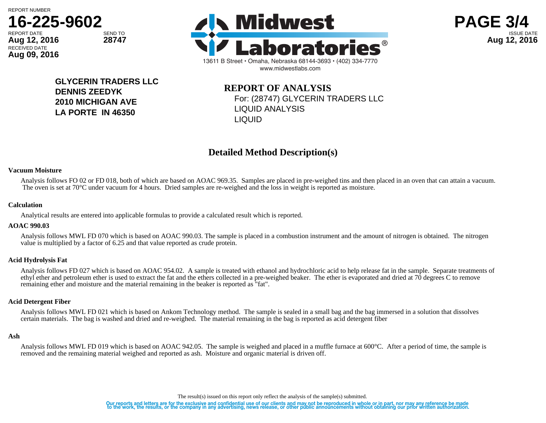

**Aug 09, 2016**







**GLYCERIN TRADERS LLC DENNIS ZEEDYK 2010 MICHIGAN AVE LA PORTE IN 46350**

**REPORT OF ANALYSIS** For: (28747) GLYCERIN TRADERS LLC LIQUID ANALYSIS LIQUID

### **Detailed Method Description(s)**

#### **Vacuum Moisture**

Analysis follows FO 02 or FD 018, both of which are based on AOAC 969.35. Samples are placed in pre-weighed tins and then placed in an oven that can attain a vacuum. The oven is set at 70°C under vacuum for 4 hours. Dried samples are re-weighed and the loss in weight is reported as moisture.

#### **Calculation**

Analytical results are entered into applicable formulas to provide a calculated result which is reported.

#### **AOAC 990.03**

Analysis follows MWL FD 070 which is based on AOAC 990.03. The sample is placed in a combustion instrument and the amount of nitrogen is obtained. The nitrogen value is multiplied by a factor of 6.25 and that value reported as crude protein.

#### **Acid Hydrolysis Fat**

Analysis follows FD 027 which is based on AOAC 954.02. A sample is treated with ethanol and hydrochloric acid to help release fat in the sample. Separate treatments of ethyl ether and petroleum ether is used to extract the fat and the ethers collected in a pre-weighed beaker. The ether is evaporated and dried at 70 degrees C to remove remaining ether and moisture and the material remaining in the beaker is reported as "fat".

#### **Acid Detergent Fiber**

Analysis follows MWL FD 021 which is based on Ankom Technology method. The sample is sealed in a small bag and the bag immersed in a solution that dissolves certain materials. The bag is washed and dried and re-weighed. The material remaining in the bag is reported as acid detergent fiber

#### **Ash**

Analysis follows MWL FD 019 which is based on AOAC 942.05. The sample is weighed and placed in a muffle furnace at 600°C. After a period of time, the sample is removed and the remaining material weighed and reported as ash. Moisture and organic material is driven off.

The result(s) issued on this report only reflect the analysis of the sample(s) submitted.